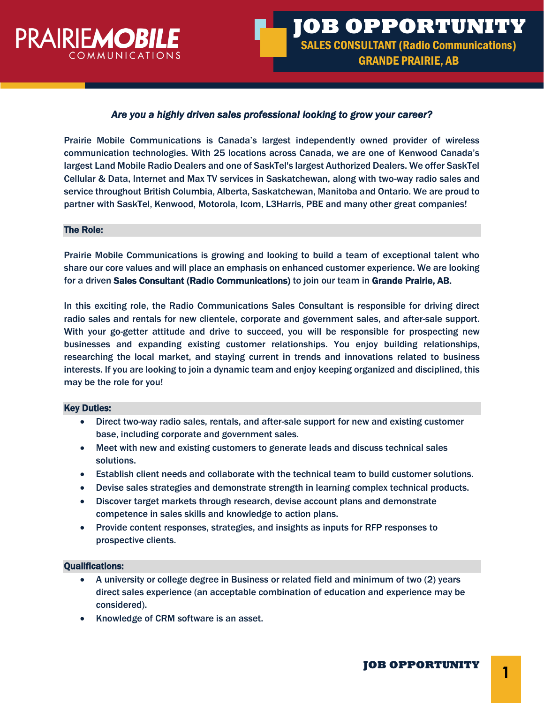

# *Are you a highly driven sales professional looking to grow your career?*

Prairie Mobile Communications is Canada's largest independently owned provider of wireless communication technologies. With 25 locations across Canada, we are one of Kenwood Canada's largest Land Mobile Radio Dealers and one of SaskTel's largest Authorized Dealers. We offer SaskTel Cellular & Data, Internet and Max TV services in Saskatchewan, along with two-way radio sales and service throughout British Columbia, Alberta, Saskatchewan, Manitoba and Ontario. We are proud to partner with SaskTel, Kenwood, Motorola, Icom, L3Harris, PBE and many other great companies!

### The Role:

Prairie Mobile Communications is growing and looking to build a team of exceptional talent who share our core values and will place an emphasis on enhanced customer experience. We are looking for a driven Sales Consultant (Radio Communications) to join our team in Grande Prairie, AB.

In this exciting role, the Radio Communications Sales Consultant is responsible for driving direct radio sales and rentals for new clientele, corporate and government sales, and after-sale support. With your go-getter attitude and drive to succeed, you will be responsible for prospecting new businesses and expanding existing customer relationships. You enjoy building relationships, researching the local market, and staying current in trends and innovations related to business interests. If you are looking to join a dynamic team and enjoy keeping organized and disciplined, this may be the role for you!

#### Key Duties:

- Direct two-way radio sales, rentals, and after-sale support for new and existing customer base, including corporate and government sales.
- Meet with new and existing customers to generate leads and discuss technical sales solutions.
- Establish client needs and collaborate with the technical team to build customer solutions.
- Devise sales strategies and demonstrate strength in learning complex technical products.
- Discover target markets through research, devise account plans and demonstrate competence in sales skills and knowledge to action plans.
- Provide content responses, strategies, and insights as inputs for RFP responses to prospective clients.

## Qualifications:

- A university or college degree in Business or related field and minimum of two (2) years direct sales experience (an acceptable combination of education and experience may be considered).
- Knowledge of CRM software is an asset.